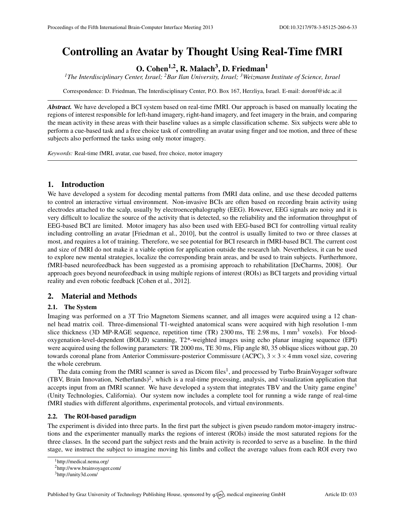# Controlling an Avatar by Thought Using Real-Time fMRI

O. Cohen<sup>1,2</sup>, R. Malach<sup>3</sup>, D. Friedman<sup>1</sup>

*<sup>1</sup>The Interdisciplinary Center, Israel; <sup>2</sup>Bar Ilan University, Israel; <sup>3</sup>Weizmann Institute of Science, Israel*

Correspondence: D. Friedman, The Interdisciplinary Center, P.O. Box 167, Herzliya, Israel. E-mail: [doronf@idc.ac.il](mailto:doronf@idc.ac.il)

*Abstract.* We have developed a BCI system based on real-time fMRI. Our approach is based on manually locating the regions of interest responsible for left-hand imagery, right-hand imagery, and feet imagery in the brain, and comparing the mean activity in these areas with their baseline values as a simple classification scheme. Six subjects were able to perform a cue-based task and a free choice task of controlling an avatar using finger and toe motion, and three of these subjects also performed the tasks using only motor imagery.

*Keywords:* Real-time fMRI, avatar, cue based, free choice, motor imagery

# 1. Introduction

We have developed a system for decoding mental patterns from fMRI data online, and use these decoded patterns to control an interactive virtual environment. Non-invasive BCIs are often based on recording brain activity using electrodes attached to the scalp, usually by electroencephalography (EEG). However, EEG signals are noisy and it is very difficult to localize the source of the activity that is detected, so the reliability and the information throughput of EEG-based BCI are limited. Motor imagery has also been used with EEG-based BCI for controlling virtual reality including controlling an avatar [\[Friedman et al.,](#page-1-0) [2010\]](#page-1-0), but the control is usually limited to two or three classes at most, and requires a lot of training. Therefore, we see potential for BCI research in fMRI-based BCI. The current cost and size of fMRI do not make it a viable option for application outside the research lab. Nevertheless, it can be used to explore new mental strategies, localize the corresponding brain areas, and be used to train subjects. Furtherhmore, fMRI-based neurofeedback has been suggested as a promising approach to rehabilitation [\[DeCharms,](#page-1-1) [2008\]](#page-1-1). Our approach goes beyond neurofeedback in using multiple regions of interest (ROIs) as BCI targets and providing virtual reality and even robotic feedback [\[Cohen et al.,](#page-1-2) [2012\]](#page-1-2).

# 2. Material and Methods

# 2.1. The System

Imaging was performed on a 3T Trio Magnetom Siemens scanner, and all images were acquired using a 12 channel head matrix coil. Three-dimensional T1-weighted anatomical scans were acquired with high resolution 1-mm slice thickness (3D MP-RAGE sequence, repetition time  $(TR)$  2300 ms, TE 2.98 ms, 1 mm<sup>3</sup> voxels). For bloodoxygenation-level-dependent (BOLD) scanning, T2\*-weighted images using echo planar imaging sequence (EPI) were acquired using the following parameters: TR 2000 ms, TE 30 ms, Flip angle 80, 35 oblique slices without gap, 20 towards coronal plane from Anterior Commissure-posterior Commissure (ACPC),  $3 \times 3 \times 4$  mm voxel size, covering the whole cerebrum.

The data coming from the fMRI scanner is saved as Dicom files<sup>[1](#page-0-0)</sup>, and processed by Turbo BrainVoyager software (TBV, Brain Innovation, Netherlands)<sup>[2](#page-0-1)</sup>, which is a real-time processing, analysis, and visualization application that accepts input from an fMRI scanner. We have developed a system that integrates TBV and the Unity game engine<sup>[3](#page-0-2)</sup> (Unity Technologies, California). Our system now includes a complete tool for running a wide range of real-time fMRI studies with different algorithms, experimental protocols, and virtual environments.

# 2.2. The ROI-based paradigm

The experiment is divided into three parts. In the first part the subject is given pseudo random motor-imagery instructions and the experimenter manually marks the regions of interest (ROIs) inside the most saturated regions for the three classes. In the second part the subject rests and the brain activity is recorded to serve as a baseline. In the third stage, we instruct the subject to imagine moving his limbs and collect the average values from each ROI every two

<span id="page-0-0"></span><sup>1</sup><http://medical.nema.org/>

<span id="page-0-1"></span><sup>2</sup><http://www.brainvoyager.com/>

<span id="page-0-2"></span><sup>3</sup><http://unity3d.com/>